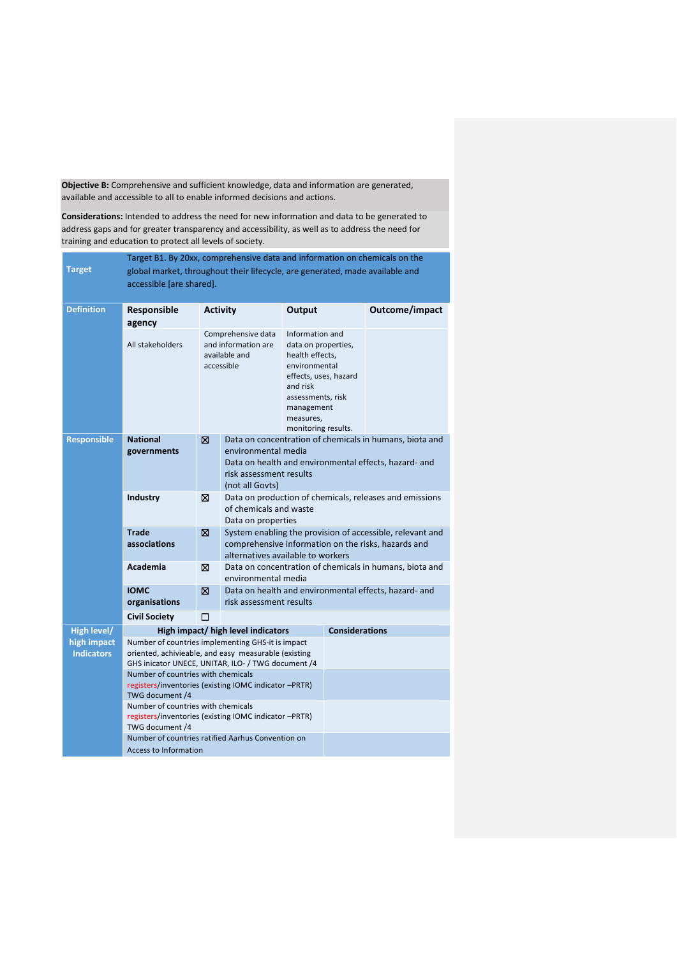**Objective B:** Comprehensive and sufficient knowledge, data and information are generated, available and accessible to all to enable informed decisions and actions.

**Considerations:** Intended to address the need for new information and data to be generated to address gaps and for greater transparency and accessibility, as well as to address the need for training and education to protect all levels of society.

| <b>Target</b>                    | Target B1. By 20xx, comprehensive data and information on chemicals on the<br>global market, throughout their lifecycle, are generated, made available and<br>accessible [are shared]. |                                                                                                                                                                                                                                                                                                                                    |                                                                                                                                                       |        |                                                       |                                                       |  |  |
|----------------------------------|----------------------------------------------------------------------------------------------------------------------------------------------------------------------------------------|------------------------------------------------------------------------------------------------------------------------------------------------------------------------------------------------------------------------------------------------------------------------------------------------------------------------------------|-------------------------------------------------------------------------------------------------------------------------------------------------------|--------|-------------------------------------------------------|-------------------------------------------------------|--|--|
| <b>Definition</b>                | Responsible<br>agency                                                                                                                                                                  | <b>Activity</b>                                                                                                                                                                                                                                                                                                                    |                                                                                                                                                       | Output |                                                       | Outcome/impact                                        |  |  |
|                                  | All stakeholders                                                                                                                                                                       | Comprehensive data<br>Information and<br>and information are<br>data on properties,<br>available and<br>health effects,<br>accessible<br>environmental<br>effects, uses, hazard<br>and risk<br>assessments, risk<br>management<br>measures,<br>monitoring results.<br>⊠<br>Data on concentration of chemicals in humans, biota and |                                                                                                                                                       |        |                                                       |                                                       |  |  |
| <b>Responsible</b>               | <b>National</b><br>governments                                                                                                                                                         |                                                                                                                                                                                                                                                                                                                                    | environmental media<br>risk assessment results<br>(not all Govts)                                                                                     |        |                                                       | Data on health and environmental effects, hazard- and |  |  |
|                                  | Industry                                                                                                                                                                               | ⊠                                                                                                                                                                                                                                                                                                                                  | Data on production of chemicals, releases and emissions<br>of chemicals and waste<br>Data on properties                                               |        |                                                       |                                                       |  |  |
|                                  | <b>Trade</b><br>associations                                                                                                                                                           | ⊠                                                                                                                                                                                                                                                                                                                                  | System enabling the provision of accessible, relevant and<br>comprehensive information on the risks, hazards and<br>alternatives available to workers |        |                                                       |                                                       |  |  |
|                                  | Academia                                                                                                                                                                               | K                                                                                                                                                                                                                                                                                                                                  | Data on concentration of chemicals in humans, biota and<br>environmental media                                                                        |        |                                                       |                                                       |  |  |
|                                  | <b>IOMC</b><br>organisations                                                                                                                                                           | ⊠                                                                                                                                                                                                                                                                                                                                  | risk assessment results                                                                                                                               |        | Data on health and environmental effects, hazard- and |                                                       |  |  |
|                                  | <b>Civil Society</b>                                                                                                                                                                   | П                                                                                                                                                                                                                                                                                                                                  |                                                                                                                                                       |        |                                                       |                                                       |  |  |
| High level/                      |                                                                                                                                                                                        |                                                                                                                                                                                                                                                                                                                                    | High impact/ high level indicators                                                                                                                    |        | <b>Considerations</b>                                 |                                                       |  |  |
| high impact<br><b>Indicators</b> | Number of countries implementing GHS-it is impact<br>oriented, achivieable, and easy measurable (existing<br>GHS inicator UNECE, UNITAR, ILO- / TWG document /4                        |                                                                                                                                                                                                                                                                                                                                    |                                                                                                                                                       |        |                                                       |                                                       |  |  |
|                                  | Number of countries with chemicals<br>registers/inventories (existing IOMC indicator -PRTR)<br>TWG document /4                                                                         |                                                                                                                                                                                                                                                                                                                                    |                                                                                                                                                       |        |                                                       |                                                       |  |  |
|                                  | Number of countries with chemicals<br>registers/inventories (existing IOMC indicator -PRTR)<br>TWG document /4                                                                         |                                                                                                                                                                                                                                                                                                                                    |                                                                                                                                                       |        |                                                       |                                                       |  |  |
|                                  | Number of countries ratified Aarhus Convention on<br><b>Access to Information</b>                                                                                                      |                                                                                                                                                                                                                                                                                                                                    |                                                                                                                                                       |        |                                                       |                                                       |  |  |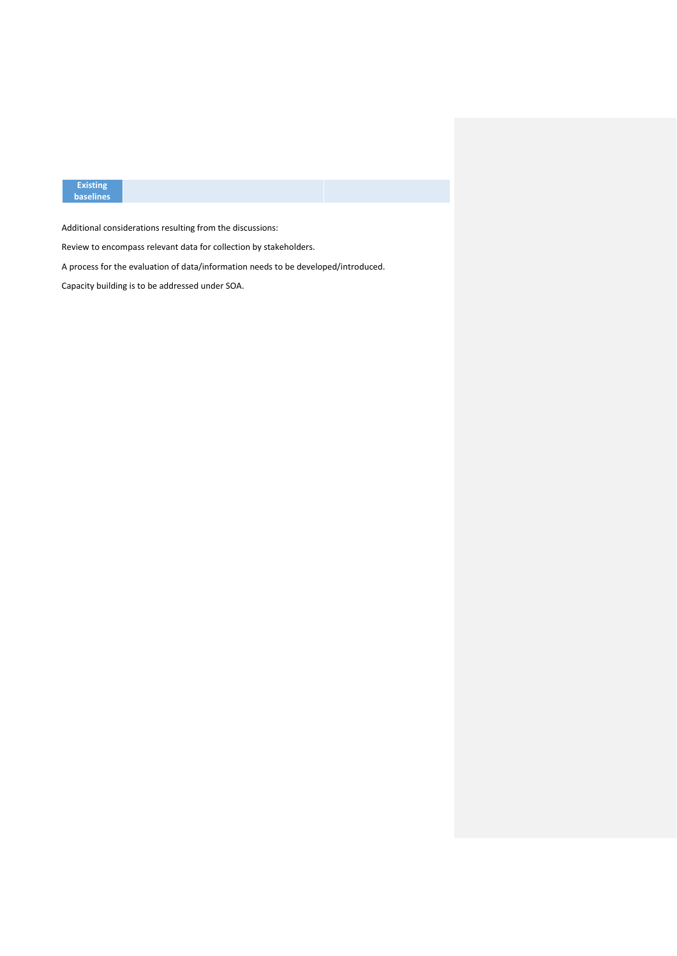## **Existing baselines**

Additional considerations resulting from the discussions:

Review to encompass relevant data for collection by stakeholders.

A process for the evaluation of data/information needs to be developed/introduced.

Capacity building is to be addressed under SOA.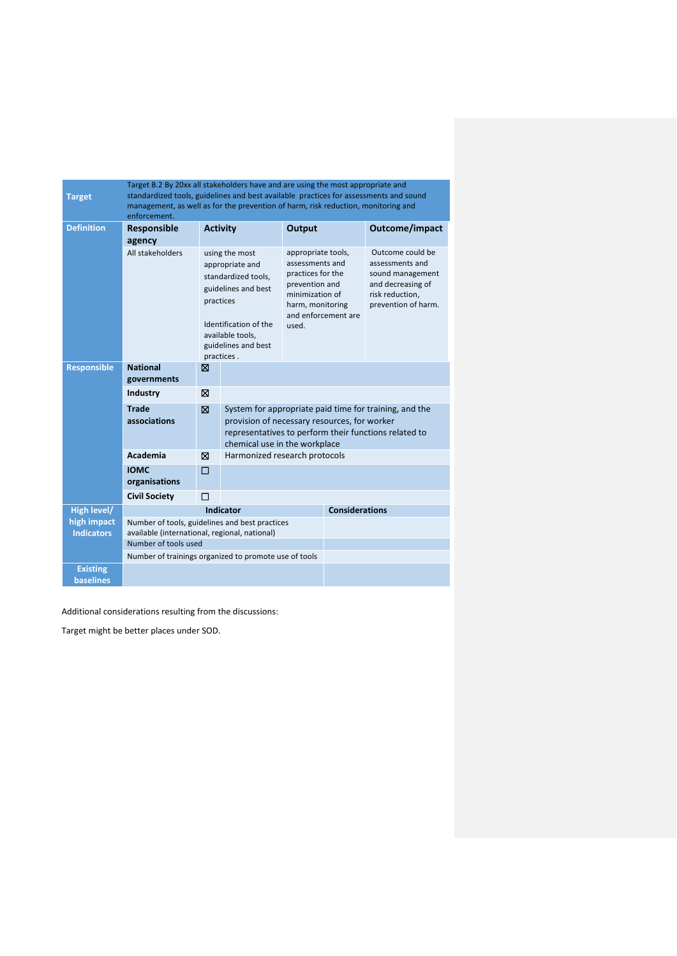| <b>Target</b>                       |                                                                                                   |           |                                                                                                                                                                   | Target B.2 By 20xx all stakeholders have and are using the most appropriate and<br>standardized tools, guidelines and best available practices for assessments and sound<br>Output<br>Outcome/impact<br>Outcome could be<br>appropriate tools,<br>assessments and<br>assessments and<br>practices for the<br>sound management<br>prevention and<br>and decreasing of<br>minimization of<br>risk reduction,<br>harm, monitoring<br>prevention of harm.<br>and enforcement are<br>used. |                                                                                                                                                                 |  |  |  |  |
|-------------------------------------|---------------------------------------------------------------------------------------------------|-----------|-------------------------------------------------------------------------------------------------------------------------------------------------------------------|---------------------------------------------------------------------------------------------------------------------------------------------------------------------------------------------------------------------------------------------------------------------------------------------------------------------------------------------------------------------------------------------------------------------------------------------------------------------------------------|-----------------------------------------------------------------------------------------------------------------------------------------------------------------|--|--|--|--|
|                                     | management, as well as for the prevention of harm, risk reduction, monitoring and<br>enforcement. |           |                                                                                                                                                                   |                                                                                                                                                                                                                                                                                                                                                                                                                                                                                       |                                                                                                                                                                 |  |  |  |  |
| <b>Definition</b>                   | <b>Responsible</b>                                                                                |           | <b>Activity</b>                                                                                                                                                   |                                                                                                                                                                                                                                                                                                                                                                                                                                                                                       |                                                                                                                                                                 |  |  |  |  |
|                                     | agency                                                                                            |           |                                                                                                                                                                   |                                                                                                                                                                                                                                                                                                                                                                                                                                                                                       |                                                                                                                                                                 |  |  |  |  |
|                                     | All stakeholders                                                                                  | practices | using the most<br>appropriate and<br>standardized tools,<br>guidelines and best<br>Identification of the<br>available tools,<br>guidelines and best<br>practices. |                                                                                                                                                                                                                                                                                                                                                                                                                                                                                       |                                                                                                                                                                 |  |  |  |  |
| <b>Responsible</b>                  | <b>National</b><br>governments                                                                    | ⊠         |                                                                                                                                                                   |                                                                                                                                                                                                                                                                                                                                                                                                                                                                                       |                                                                                                                                                                 |  |  |  |  |
|                                     | Industry                                                                                          | X         |                                                                                                                                                                   |                                                                                                                                                                                                                                                                                                                                                                                                                                                                                       |                                                                                                                                                                 |  |  |  |  |
|                                     | <b>Trade</b><br>associations                                                                      | 冈         | chemical use in the workplace                                                                                                                                     |                                                                                                                                                                                                                                                                                                                                                                                                                                                                                       | System for appropriate paid time for training, and the<br>provision of necessary resources, for worker<br>representatives to perform their functions related to |  |  |  |  |
|                                     | Academia                                                                                          | ⊠         | Harmonized research protocols                                                                                                                                     |                                                                                                                                                                                                                                                                                                                                                                                                                                                                                       |                                                                                                                                                                 |  |  |  |  |
|                                     | <b>IOMC</b><br>organisations                                                                      | П         |                                                                                                                                                                   |                                                                                                                                                                                                                                                                                                                                                                                                                                                                                       |                                                                                                                                                                 |  |  |  |  |
|                                     | <b>Civil Society</b>                                                                              | $\Box$    |                                                                                                                                                                   |                                                                                                                                                                                                                                                                                                                                                                                                                                                                                       |                                                                                                                                                                 |  |  |  |  |
| High level/                         |                                                                                                   |           | Indicator                                                                                                                                                         |                                                                                                                                                                                                                                                                                                                                                                                                                                                                                       | <b>Considerations</b>                                                                                                                                           |  |  |  |  |
| high impact<br><b>Indicators</b>    | Number of tools, guidelines and best practices<br>available (international, regional, national)   |           |                                                                                                                                                                   |                                                                                                                                                                                                                                                                                                                                                                                                                                                                                       |                                                                                                                                                                 |  |  |  |  |
|                                     | Number of tools used                                                                              |           |                                                                                                                                                                   |                                                                                                                                                                                                                                                                                                                                                                                                                                                                                       |                                                                                                                                                                 |  |  |  |  |
|                                     | Number of trainings organized to promote use of tools                                             |           |                                                                                                                                                                   |                                                                                                                                                                                                                                                                                                                                                                                                                                                                                       |                                                                                                                                                                 |  |  |  |  |
| <b>Existing</b><br><b>baselines</b> |                                                                                                   |           |                                                                                                                                                                   |                                                                                                                                                                                                                                                                                                                                                                                                                                                                                       |                                                                                                                                                                 |  |  |  |  |

Additional considerations resulting from the discussions:

Target might be better places under SOD.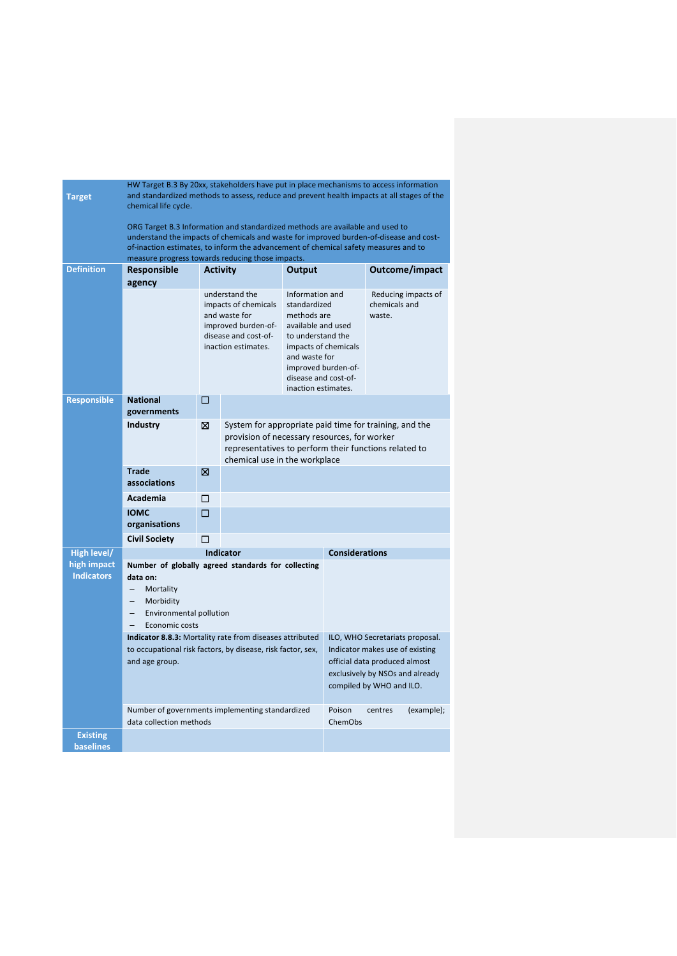| Target                              | HW Target B.3 By 20xx, stakeholders have put in place mechanisms to access information<br>and standardized methods to assess, reduce and prevent health impacts at all stages of the<br>chemical life cycle.                                                                                                       |                                                                                                                                                                                                                                                                                                                                                                       |                  |                                                                                                                                                                                                  |                       |                                      |                |  |  |
|-------------------------------------|--------------------------------------------------------------------------------------------------------------------------------------------------------------------------------------------------------------------------------------------------------------------------------------------------------------------|-----------------------------------------------------------------------------------------------------------------------------------------------------------------------------------------------------------------------------------------------------------------------------------------------------------------------------------------------------------------------|------------------|--------------------------------------------------------------------------------------------------------------------------------------------------------------------------------------------------|-----------------------|--------------------------------------|----------------|--|--|
|                                     | ORG Target B.3 Information and standardized methods are available and used to<br>understand the impacts of chemicals and waste for improved burden-of-disease and cost-<br>of-inaction estimates, to inform the advancement of chemical safety measures and to<br>measure progress towards reducing those impacts. |                                                                                                                                                                                                                                                                                                                                                                       |                  |                                                                                                                                                                                                  |                       |                                      |                |  |  |
| <b>Definition</b>                   | Responsible                                                                                                                                                                                                                                                                                                        | <b>Activity</b>                                                                                                                                                                                                                                                                                                                                                       |                  | Output                                                                                                                                                                                           |                       |                                      | Outcome/impact |  |  |
|                                     | agency                                                                                                                                                                                                                                                                                                             |                                                                                                                                                                                                                                                                                                                                                                       |                  |                                                                                                                                                                                                  |                       |                                      |                |  |  |
|                                     |                                                                                                                                                                                                                                                                                                                    | understand the<br>Information and<br>standardized<br>impacts of chemicals<br>and waste for<br>methods are<br>improved burden-of-<br>available and used<br>disease and cost-of-<br>to understand the<br>inaction estimates.<br>impacts of chemicals<br>and waste for<br>improved burden-of-<br>disease and cost-of-<br>inaction estimates.                             |                  |                                                                                                                                                                                                  |                       | Reducing impacts of<br>chemicals and |                |  |  |
| <b>Responsible</b>                  | <b>National</b>                                                                                                                                                                                                                                                                                                    | П                                                                                                                                                                                                                                                                                                                                                                     |                  |                                                                                                                                                                                                  |                       |                                      |                |  |  |
|                                     | governments                                                                                                                                                                                                                                                                                                        |                                                                                                                                                                                                                                                                                                                                                                       |                  |                                                                                                                                                                                                  |                       |                                      |                |  |  |
|                                     | <b>Industry</b>                                                                                                                                                                                                                                                                                                    | X                                                                                                                                                                                                                                                                                                                                                                     |                  | System for appropriate paid time for training, and the<br>provision of necessary resources, for worker<br>representatives to perform their functions related to<br>chemical use in the workplace |                       |                                      |                |  |  |
|                                     | <b>Trade</b><br>associations                                                                                                                                                                                                                                                                                       | ⊠                                                                                                                                                                                                                                                                                                                                                                     |                  |                                                                                                                                                                                                  |                       |                                      |                |  |  |
|                                     | Academia                                                                                                                                                                                                                                                                                                           | П                                                                                                                                                                                                                                                                                                                                                                     |                  |                                                                                                                                                                                                  |                       |                                      |                |  |  |
|                                     | <b>IOMC</b>                                                                                                                                                                                                                                                                                                        | о                                                                                                                                                                                                                                                                                                                                                                     |                  |                                                                                                                                                                                                  |                       |                                      |                |  |  |
|                                     | organisations                                                                                                                                                                                                                                                                                                      |                                                                                                                                                                                                                                                                                                                                                                       |                  |                                                                                                                                                                                                  |                       |                                      |                |  |  |
|                                     | <b>Civil Society</b>                                                                                                                                                                                                                                                                                               | п                                                                                                                                                                                                                                                                                                                                                                     |                  |                                                                                                                                                                                                  |                       |                                      |                |  |  |
| High level/                         |                                                                                                                                                                                                                                                                                                                    |                                                                                                                                                                                                                                                                                                                                                                       | <b>Indicator</b> |                                                                                                                                                                                                  | <b>Considerations</b> |                                      |                |  |  |
| high impact<br><b>Indicators</b>    | Number of globally agreed standards for collecting<br>data on:<br>Mortality<br>-<br>Morbidity<br>Environmental pollution<br>Economic costs                                                                                                                                                                         |                                                                                                                                                                                                                                                                                                                                                                       |                  |                                                                                                                                                                                                  |                       |                                      |                |  |  |
|                                     | and age group.                                                                                                                                                                                                                                                                                                     | Indicator 8.8.3: Mortality rate from diseases attributed<br>ILO, WHO Secretariats proposal.<br>to occupational risk factors, by disease, risk factor, sex,<br>Indicator makes use of existing<br>official data produced almost<br>exclusively by NSOs and already<br>compiled by WHO and ILO.<br>Number of governments implementing standardized<br>Poison<br>centres |                  |                                                                                                                                                                                                  |                       |                                      |                |  |  |
|                                     | data collection methods                                                                                                                                                                                                                                                                                            |                                                                                                                                                                                                                                                                                                                                                                       |                  |                                                                                                                                                                                                  | ChemObs               |                                      | (example);     |  |  |
| <b>Existing</b><br><b>baselines</b> |                                                                                                                                                                                                                                                                                                                    |                                                                                                                                                                                                                                                                                                                                                                       |                  |                                                                                                                                                                                                  |                       |                                      |                |  |  |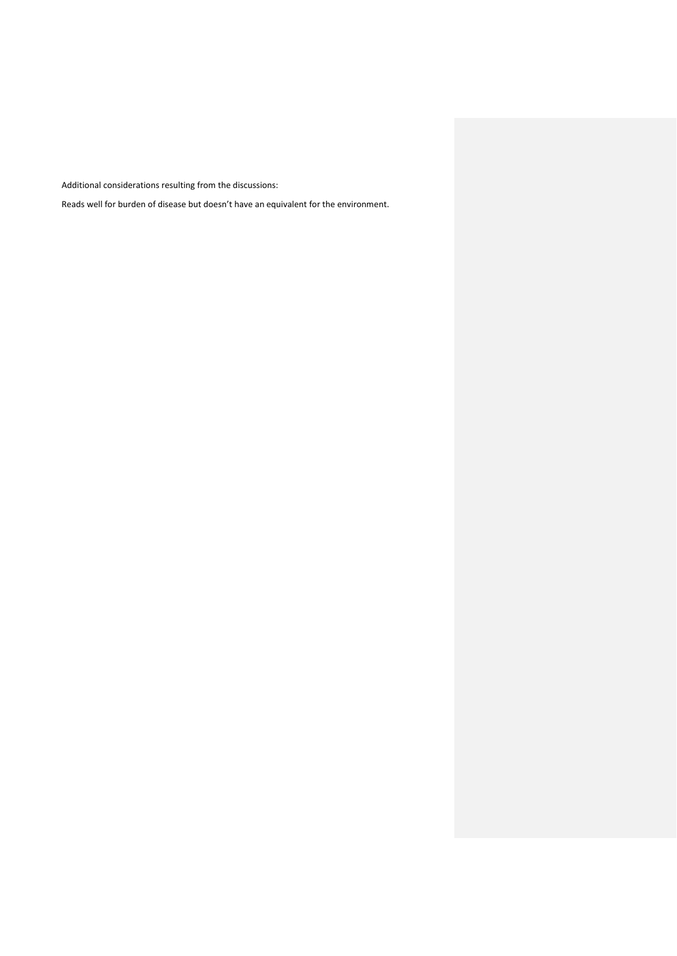Additional considerations resulting from the discussions:

Reads well for burden of disease but doesn't have an equivalent for the environment.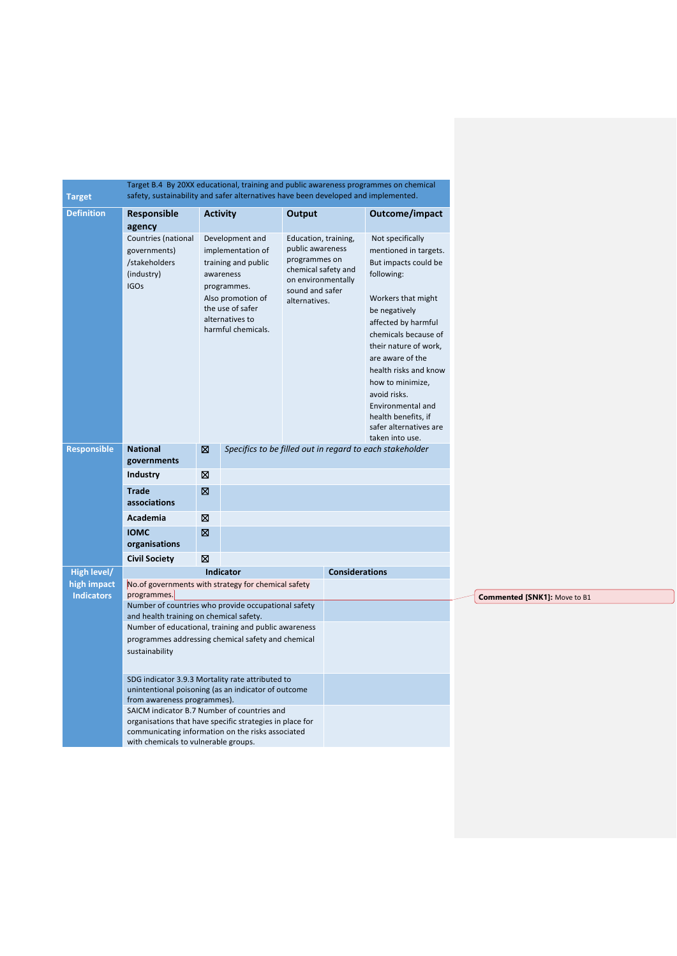| <b>Target</b>                    | Target B.4 By 20XX educational, training and public awareness programmes on chemical<br>safety, sustainability and safer alternatives have been developed and implemented.                           |                                                                                                                                                                           |                  |                                                                                                                                            |                       |                                                                                                                                                                                                                                                                                                                                                                          |                              |  |  |
|----------------------------------|------------------------------------------------------------------------------------------------------------------------------------------------------------------------------------------------------|---------------------------------------------------------------------------------------------------------------------------------------------------------------------------|------------------|--------------------------------------------------------------------------------------------------------------------------------------------|-----------------------|--------------------------------------------------------------------------------------------------------------------------------------------------------------------------------------------------------------------------------------------------------------------------------------------------------------------------------------------------------------------------|------------------------------|--|--|
| <b>Definition</b>                | <b>Responsible</b><br>agency                                                                                                                                                                         | <b>Activity</b>                                                                                                                                                           |                  | Output                                                                                                                                     |                       | Outcome/impact                                                                                                                                                                                                                                                                                                                                                           |                              |  |  |
|                                  | Countries (national<br>governments)<br>/stakeholders<br>(industry)<br><b>IGOs</b>                                                                                                                    | Development and<br>implementation of<br>training and public<br>awareness<br>programmes.<br>Also promotion of<br>the use of safer<br>alternatives to<br>harmful chemicals. |                  | Education, training,<br>public awareness<br>programmes on<br>chemical safety and<br>on environmentally<br>sound and safer<br>alternatives. |                       | Not specifically<br>mentioned in targets.<br>But impacts could be<br>following:<br>Workers that might<br>be negatively<br>affected by harmful<br>chemicals because of<br>their nature of work,<br>are aware of the<br>health risks and know<br>how to minimize,<br>avoid risks.<br>Environmental and<br>health benefits, if<br>safer alternatives are<br>taken into use. |                              |  |  |
| <b>Responsible</b>               | <b>National</b><br>governments                                                                                                                                                                       | ⊠                                                                                                                                                                         |                  |                                                                                                                                            |                       | Specifics to be filled out in regard to each stakeholder                                                                                                                                                                                                                                                                                                                 |                              |  |  |
|                                  | <b>Industry</b>                                                                                                                                                                                      | Ø                                                                                                                                                                         |                  |                                                                                                                                            |                       |                                                                                                                                                                                                                                                                                                                                                                          |                              |  |  |
|                                  | <b>Trade</b><br>associations                                                                                                                                                                         | ⊠                                                                                                                                                                         |                  |                                                                                                                                            |                       |                                                                                                                                                                                                                                                                                                                                                                          |                              |  |  |
|                                  | Academia                                                                                                                                                                                             | ⊠                                                                                                                                                                         |                  |                                                                                                                                            |                       |                                                                                                                                                                                                                                                                                                                                                                          |                              |  |  |
|                                  | <b>IOMC</b><br>organisations                                                                                                                                                                         | ⊠                                                                                                                                                                         |                  |                                                                                                                                            |                       |                                                                                                                                                                                                                                                                                                                                                                          |                              |  |  |
|                                  | <b>Civil Society</b>                                                                                                                                                                                 | Ø                                                                                                                                                                         |                  |                                                                                                                                            |                       |                                                                                                                                                                                                                                                                                                                                                                          |                              |  |  |
| High level/                      |                                                                                                                                                                                                      |                                                                                                                                                                           | <b>Indicator</b> |                                                                                                                                            | <b>Considerations</b> |                                                                                                                                                                                                                                                                                                                                                                          |                              |  |  |
| high impact<br><b>Indicators</b> | No.of governments with strategy for chemical safety<br>programmes.                                                                                                                                   |                                                                                                                                                                           |                  |                                                                                                                                            |                       |                                                                                                                                                                                                                                                                                                                                                                          |                              |  |  |
|                                  | Number of countries who provide occupational safety                                                                                                                                                  |                                                                                                                                                                           |                  |                                                                                                                                            |                       |                                                                                                                                                                                                                                                                                                                                                                          | Commented [SNK1]: Move to B1 |  |  |
|                                  | and health training on chemical safety.<br>Number of educational, training and public awareness                                                                                                      |                                                                                                                                                                           |                  |                                                                                                                                            |                       |                                                                                                                                                                                                                                                                                                                                                                          |                              |  |  |
|                                  | programmes addressing chemical safety and chemical<br>sustainability                                                                                                                                 |                                                                                                                                                                           |                  |                                                                                                                                            |                       |                                                                                                                                                                                                                                                                                                                                                                          |                              |  |  |
|                                  | SDG indicator 3.9.3 Mortality rate attributed to<br>unintentional poisoning (as an indicator of outcome<br>from awareness programmes).                                                               |                                                                                                                                                                           |                  |                                                                                                                                            |                       |                                                                                                                                                                                                                                                                                                                                                                          |                              |  |  |
|                                  | SAICM indicator B.7 Number of countries and<br>organisations that have specific strategies in place for<br>communicating information on the risks associated<br>with chemicals to vulnerable groups. |                                                                                                                                                                           |                  |                                                                                                                                            |                       |                                                                                                                                                                                                                                                                                                                                                                          |                              |  |  |